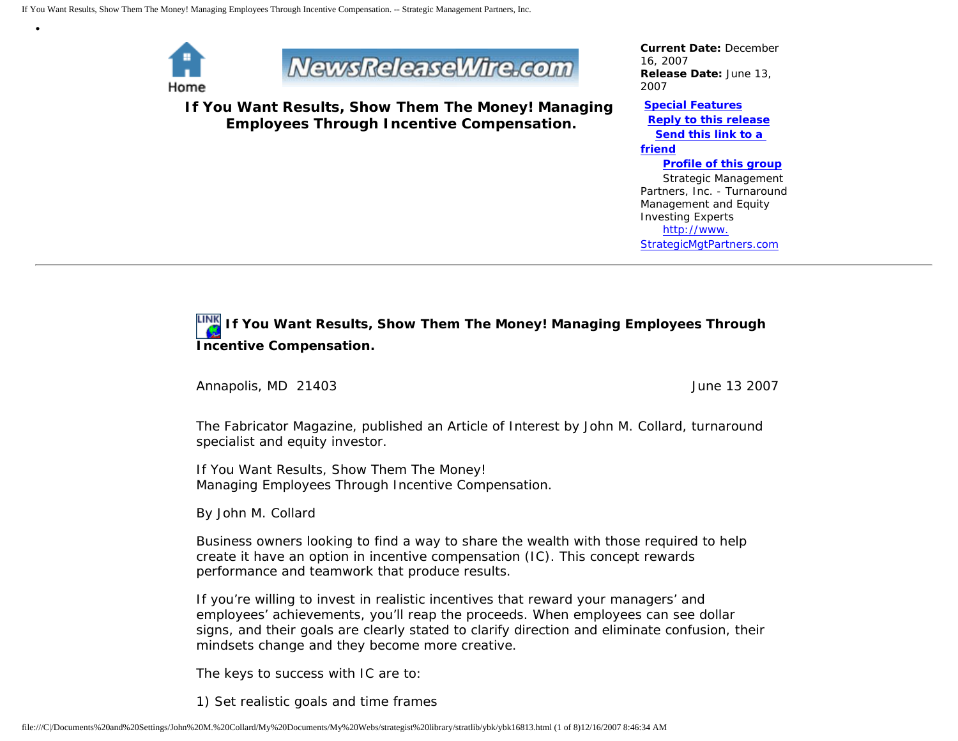

•



**If You Want Results, Show Them The Money! Managing Employees Through Incentive Compensation.**

*Current Date:* December 16, 2007 *Release Date:* June 13, 2007

**[Special Features](javascript:openlittleme()**

 **[Reply to this release](file:///C|/Documents%20and%20Settings/John%20M.%20Collard/My%20Documents/My%20Webs/strategist%20library/stratlib/ybk/default.cfm?Action=ReplyRelease&Id=16813) [Send this link to a](file:///C|/Documents%20and%20Settings/John%20M.%20Collard/My%20Documents/My%20Webs/strategist%20library/stratlib/ybk/default.cfm?Action=SendLink&SendId=16813)  [friend](file:///C|/Documents%20and%20Settings/John%20M.%20Collard/My%20Documents/My%20Webs/strategist%20library/stratlib/ybk/default.cfm?Action=SendLink&SendId=16813)**

 **[Profile of this group](file:///C|/Documents%20and%20Settings/John%20M.%20Collard/My%20Documents/My%20Webs/strategist%20library/stratlib/ybk/default.cfm?Action=Profile&ProfileId=623)** Strategic Management Partners, Inc. - Turnaround Management and Equity Investing Experts [http://www.](http://www.strategicmgtpartners.com/) [StrategicMgtPartners.com](http://www.strategicmgtpartners.com/)

# **If You Want Results, Show Them The Money! Managing Employees Through Incentive Compensation.**

Annapolis, MD 21403 **June 13 2007** 

The Fabricator Magazine, published an Article of Interest by John M. Collard, turnaround specialist and equity investor.

If You Want Results, Show Them The Money! Managing Employees Through Incentive Compensation.

By John M. Collard

Business owners looking to find a way to share the wealth with those required to help create it have an option in incentive compensation (IC). This concept rewards performance and teamwork that produce results.

If you're willing to invest in realistic incentives that reward your managers' and employees' achievements, you'll reap the proceeds. When employees can see dollar signs, and their goals are clearly stated to clarify direction and eliminate confusion, their mindsets change and they become more creative.

The keys to success with IC are to:

1) Set realistic goals and time frames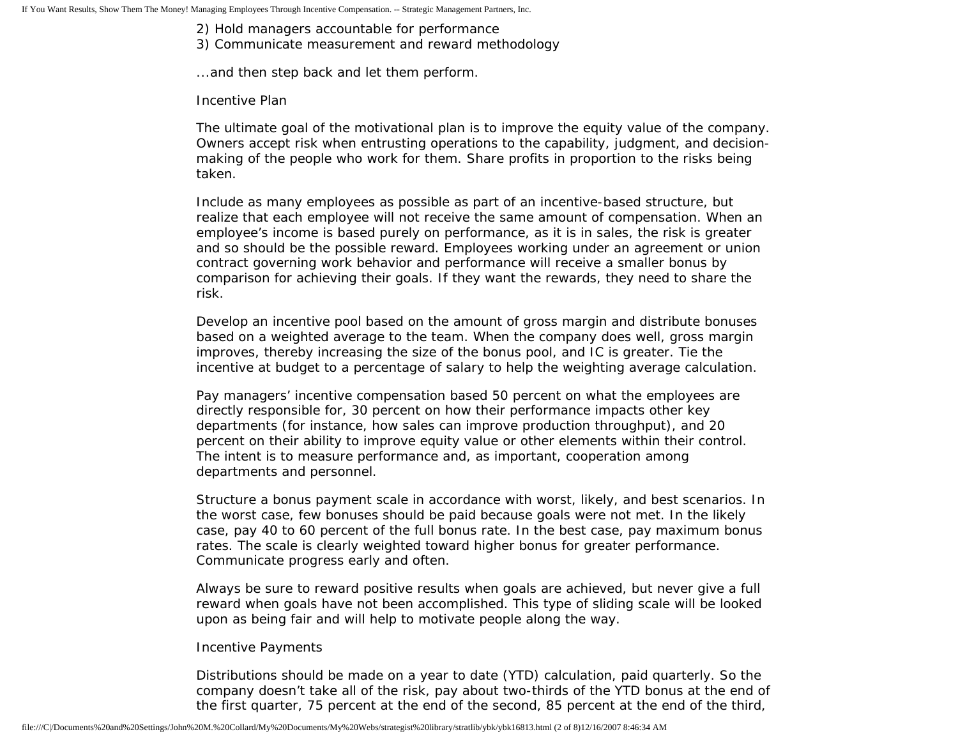2) Hold managers accountable for performance

3) Communicate measurement and reward methodology

...and then step back and let them perform.

Incentive Plan

The ultimate goal of the motivational plan is to improve the equity value of the company. Owners accept risk when entrusting operations to the capability, judgment, and decisionmaking of the people who work for them. Share profits in proportion to the risks being taken.

Include as many employees as possible as part of an incentive-based structure, but realize that each employee will not receive the same amount of compensation. When an employee's income is based purely on performance, as it is in sales, the risk is greater and so should be the possible reward. Employees working under an agreement or union contract governing work behavior and performance will receive a smaller bonus by comparison for achieving their goals. If they want the rewards, they need to share the risk.

Develop an incentive pool based on the amount of gross margin and distribute bonuses based on a weighted average to the team. When the company does well, gross margin improves, thereby increasing the size of the bonus pool, and IC is greater. Tie the incentive at budget to a percentage of salary to help the weighting average calculation.

Pay managers' incentive compensation based 50 percent on what the employees are directly responsible for, 30 percent on how their performance impacts other key departments (for instance, how sales can improve production throughput), and 20 percent on their ability to improve equity value or other elements within their control. The intent is to measure performance and, as important, cooperation among departments and personnel.

Structure a bonus payment scale in accordance with worst, likely, and best scenarios. In the worst case, few bonuses should be paid because goals were not met. In the likely case, pay 40 to 60 percent of the full bonus rate. In the best case, pay maximum bonus rates. The scale is clearly weighted toward higher bonus for greater performance. Communicate progress early and often.

Always be sure to reward positive results when goals are achieved, but never give a full reward when goals have not been accomplished. This type of sliding scale will be looked upon as being fair and will help to motivate people along the way.

## Incentive Payments

Distributions should be made on a year to date (YTD) calculation, paid quarterly. So the company doesn't take all of the risk, pay about two-thirds of the YTD bonus at the end of the first quarter, 75 percent at the end of the second, 85 percent at the end of the third,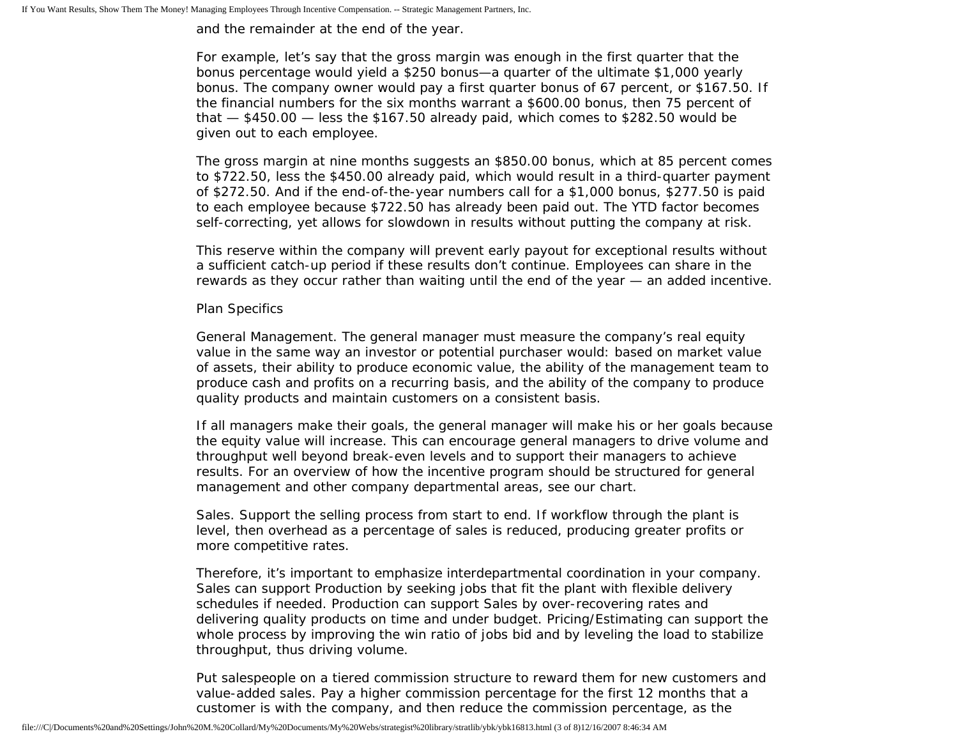and the remainder at the end of the year.

For example, let's say that the gross margin was enough in the first quarter that the bonus percentage would yield a \$250 bonus—a quarter of the ultimate \$1,000 yearly bonus. The company owner would pay a first quarter bonus of 67 percent, or \$167.50. If the financial numbers for the six months warrant a \$600.00 bonus, then 75 percent of that  $-$  \$450.00  $-$  less the \$167.50 already paid, which comes to \$282.50 would be given out to each employee.

The gross margin at nine months suggests an \$850.00 bonus, which at 85 percent comes to \$722.50, less the \$450.00 already paid, which would result in a third-quarter payment of \$272.50. And if the end-of-the-year numbers call for a \$1,000 bonus, \$277.50 is paid to each employee because \$722.50 has already been paid out. The YTD factor becomes self-correcting, yet allows for slowdown in results without putting the company at risk.

This reserve within the company will prevent early payout for exceptional results without a sufficient catch-up period if these results don't continue. Employees can share in the rewards as they occur rather than waiting until the end of the year — an added incentive.

### Plan Specifics

General Management. The general manager must measure the company's real equity value in the same way an investor or potential purchaser would: based on market value of assets, their ability to produce economic value, the ability of the management team to produce cash and profits on a recurring basis, and the ability of the company to produce quality products and maintain customers on a consistent basis.

If all managers make their goals, the general manager will make his or her goals because the equity value will increase. This can encourage general managers to drive volume and throughput well beyond break-even levels and to support their managers to achieve results. For an overview of how the incentive program should be structured for general management and other company departmental areas, see our chart.

Sales. Support the selling process from start to end. If workflow through the plant is level, then overhead as a percentage of sales is reduced, producing greater profits or more competitive rates.

Therefore, it's important to emphasize interdepartmental coordination in your company. Sales can support Production by seeking jobs that fit the plant with flexible delivery schedules if needed. Production can support Sales by over-recovering rates and delivering quality products on time and under budget. Pricing/Estimating can support the whole process by improving the win ratio of jobs bid and by leveling the load to stabilize throughput, thus driving volume.

Put salespeople on a tiered commission structure to reward them for new customers and value-added sales. Pay a higher commission percentage for the first 12 months that a customer is with the company, and then reduce the commission percentage, as the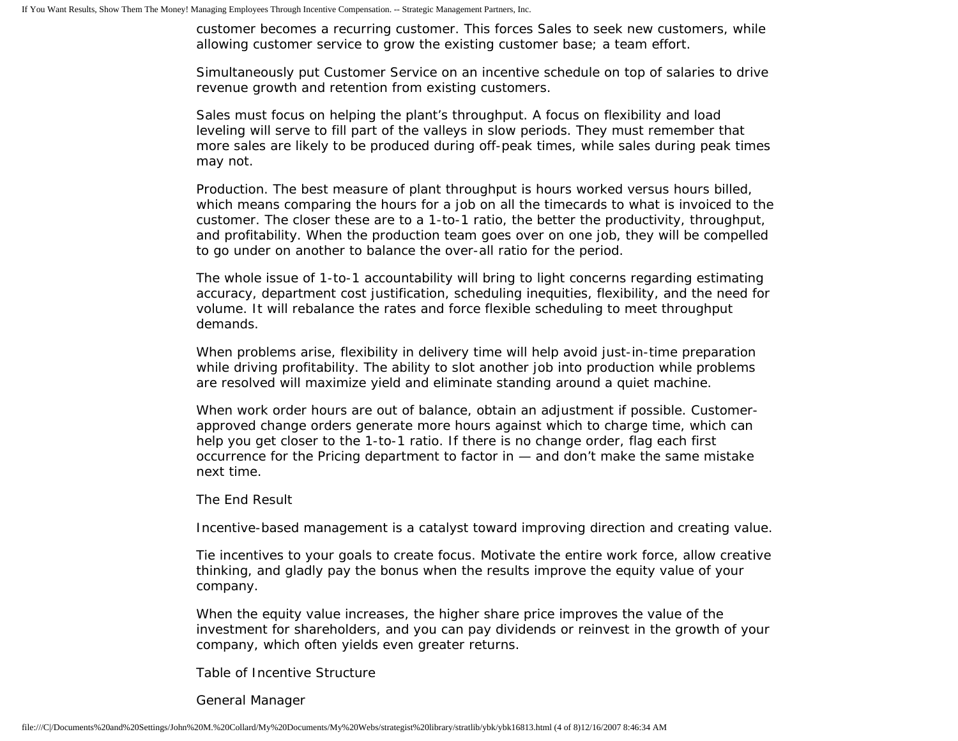customer becomes a recurring customer. This forces Sales to seek new customers, while allowing customer service to grow the existing customer base; a team effort.

Simultaneously put Customer Service on an incentive schedule on top of salaries to drive revenue growth and retention from existing customers.

Sales must focus on helping the plant's throughput. A focus on flexibility and load leveling will serve to fill part of the valleys in slow periods. They must remember that more sales are likely to be produced during off-peak times, while sales during peak times may not.

Production. The best measure of plant throughput is hours worked versus hours billed, which means comparing the hours for a job on all the timecards to what is invoiced to the customer. The closer these are to a 1-to-1 ratio, the better the productivity, throughput, and profitability. When the production team goes over on one job, they will be compelled to go under on another to balance the over-all ratio for the period.

The whole issue of 1-to-1 accountability will bring to light concerns regarding estimating accuracy, department cost justification, scheduling inequities, flexibility, and the need for volume. It will rebalance the rates and force flexible scheduling to meet throughput demands.

When problems arise, flexibility in delivery time will help avoid just-in-time preparation while driving profitability. The ability to slot another job into production while problems are resolved will maximize yield and eliminate standing around a quiet machine.

When work order hours are out of balance, obtain an adjustment if possible. Customerapproved change orders generate more hours against which to charge time, which can help you get closer to the 1-to-1 ratio. If there is no change order, flag each first occurrence for the Pricing department to factor in — and don't make the same mistake next time.

#### The End Result

Incentive-based management is a catalyst toward improving direction and creating value.

Tie incentives to your goals to create focus. Motivate the entire work force, allow creative thinking, and gladly pay the bonus when the results improve the equity value of your company.

When the equity value increases, the higher share price improves the value of the investment for shareholders, and you can pay dividends or reinvest in the growth of your company, which often yields even greater returns.

Table of Incentive Structure

General Manager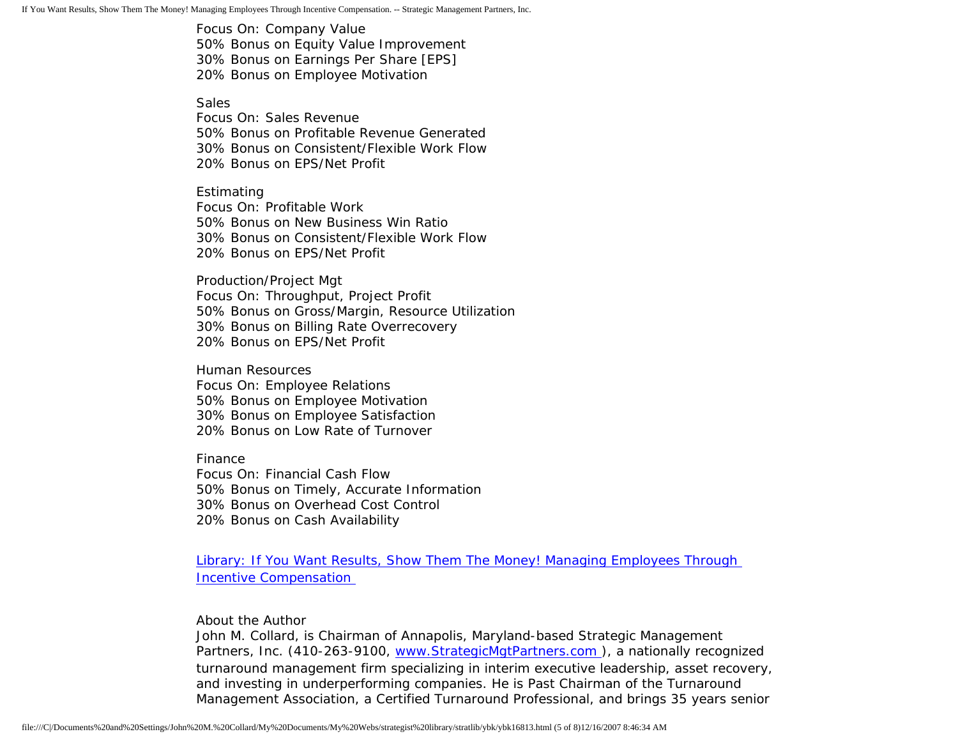Focus On: Company Value 50% Bonus on Equity Value Improvement 30% Bonus on Earnings Per Share [EPS] 20% Bonus on Employee Motivation

**Sales** 

Focus On: Sales Revenue 50% Bonus on Profitable Revenue Generated 30% Bonus on Consistent/Flexible Work Flow 20% Bonus on EPS/Net Profit

Estimating Focus On: Profitable Work 50% Bonus on New Business Win Ratio 30% Bonus on Consistent/Flexible Work Flow 20% Bonus on EPS/Net Profit

Production/Project Mgt Focus On: Throughput, Project Profit 50% Bonus on Gross/Margin, Resource Utilization 30% Bonus on Billing Rate Overrecovery 20% Bonus on EPS/Net Profit

Human Resources Focus On: Employee Relations 50% Bonus on Employee Motivation 30% Bonus on Employee Satisfaction 20% Bonus on Low Rate of Turnover

Finance Focus On: Financial Cash Flow 50% Bonus on Timely, Accurate Information 30% Bonus on Overhead Cost Control 20% Bonus on Cash Availability

[Library: If You Want Results, Show Them The Money! Managing Employees Through](http://members.aol.com/stratlib3/ibmfab.html)  [Incentive Compensation](http://members.aol.com/stratlib3/ibmfab.html)

About the Author

John M. Collard, is Chairman of Annapolis, Maryland-based Strategic Management Partners, Inc. (410-263-9100, [www.StrategicMgtPartners.com](http://www.strategicmgtpartners.com/) ), a nationally recognized turnaround management firm specializing in interim executive leadership, asset recovery, and investing in underperforming companies. He is Past Chairman of the Turnaround Management Association, a Certified Turnaround Professional, and brings 35 years senior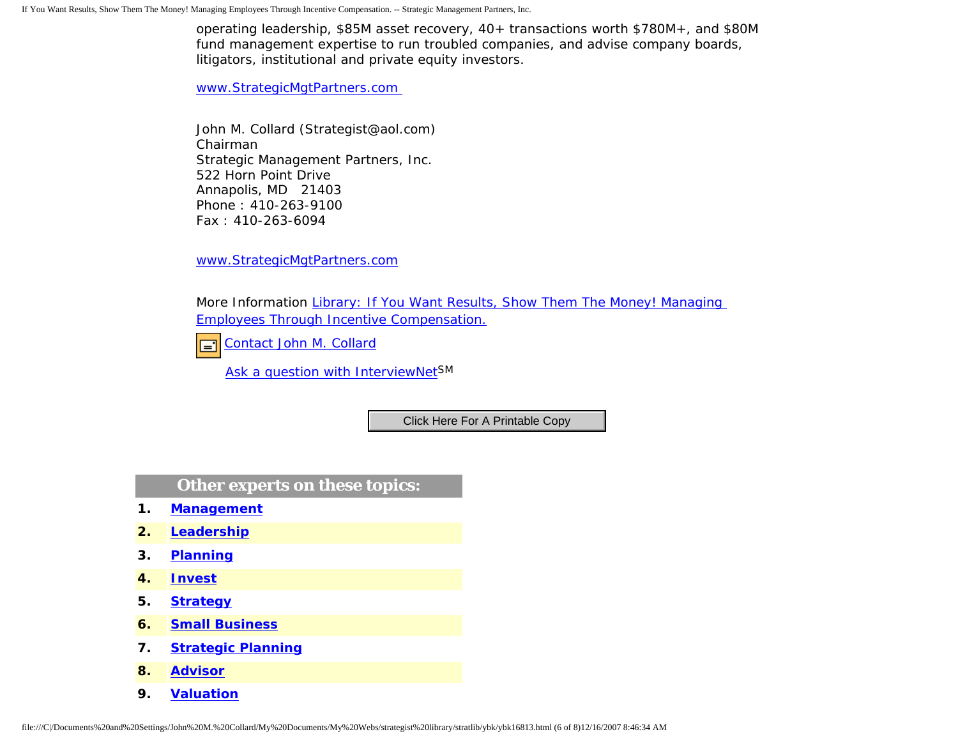operating leadership, \$85M asset recovery, 40+ transactions worth \$780M+, and \$80M fund management expertise to run troubled companies, and advise company boards, litigators, institutional and private equity investors.

[www.StrategicMgtPartners.com](http://www.strategicmgtpartners.com/)

John M. Collard (Strategist@aol.com) Chairman Strategic Management Partners, Inc. 522 Horn Point Drive Annapolis, MD 21403 Phone : 410-263-9100 Fax : 410-263-6094

[www.StrategicMgtPartners.com](http://www.strategicmgtpartners.com/)

More Information [Library: If You Want Results, Show Them The Money! Managing](http://members.aol.com/stratlib3/ibmfab.html) [Employees Through Incentive Compensation.](http://members.aol.com/stratlib3/ibmfab.html)

[Contact John M. Collard](http://www.expertclick.com/expertClick/contact/default.cfm?Action=ContactExpert&GroupID=1016)  $\Box$ 

[Ask a question with InterviewNetS](http://www.expertclick.com/expertClick/contact/default.cfm?GroupID=1016)M

**Other experts on these topics:**

- **1. [Management](http://www.expertclick.com/search/default.cfm?SearchCriteria=Management)**
- **2. [Leadership](http://www.expertclick.com/search/default.cfm?SearchCriteria=Leadership)**
- **3. [Planning](http://www.expertclick.com/search/default.cfm?SearchCriteria=Planning)**
- **4. [Invest](http://www.expertclick.com/search/default.cfm?SearchCriteria=Invest)**
- **5. [Strategy](http://www.expertclick.com/search/default.cfm?SearchCriteria=Strategy)**
- **6. [Small Business](http://www.expertclick.com/search/default.cfm?SearchCriteria=Small Business)**
- **7. [Strategic Planning](http://www.expertclick.com/search/default.cfm?SearchCriteria=Strategic Planning)**
- **8. [Advisor](http://www.expertclick.com/search/default.cfm?SearchCriteria=Advisor)**
- **9. [Valuation](http://www.expertclick.com/search/default.cfm?SearchCriteria=Valuation)**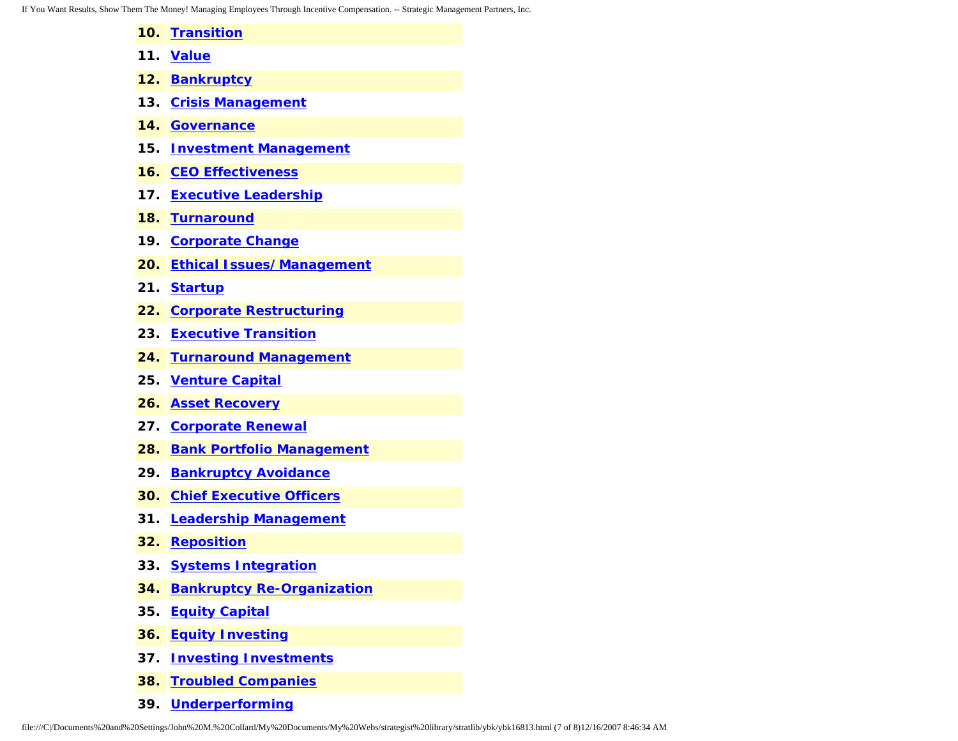If You Want Results, Show Them The Money! Managing Employees Through Incentive Compensation. -- Strategic Management Partners, Inc.

- **10. [Transition](http://www.expertclick.com/search/default.cfm?SearchCriteria=Transition)**
- **11. [Value](http://www.expertclick.com/search/default.cfm?SearchCriteria=Value)**
- **12. [Bankruptcy](http://www.expertclick.com/search/default.cfm?SearchCriteria=Bankruptcy)**
- **13. [Crisis Management](http://www.expertclick.com/search/default.cfm?SearchCriteria=Crisis Management)**
- **14. [Governance](http://www.expertclick.com/search/default.cfm?SearchCriteria=Governance)**
- **15. [Investment Management](http://www.expertclick.com/search/default.cfm?SearchCriteria=Investment Management)**
- **16. [CEO Effectiveness](http://www.expertclick.com/search/default.cfm?SearchCriteria=CEO Effectiveness)**
- **17. [Executive Leadership](http://www.expertclick.com/search/default.cfm?SearchCriteria=Executive Leadership)**
- **18. [Turnaround](http://www.expertclick.com/search/default.cfm?SearchCriteria=Turnaround)**
- **19. [Corporate Change](http://www.expertclick.com/search/default.cfm?SearchCriteria=Corporate Change)**
- **20. [Ethical Issues/Management](http://www.expertclick.com/search/default.cfm?SearchCriteria=Ethical Issues/Management)**
- **21. [Startup](http://www.expertclick.com/search/default.cfm?SearchCriteria=Startup)**
- **22. [Corporate Restructuring](http://www.expertclick.com/search/default.cfm?SearchCriteria=Corporate Restructuring)**
- **23. [Executive Transition](http://www.expertclick.com/search/default.cfm?SearchCriteria=Executive Transition)**
- **24. [Turnaround Management](http://www.expertclick.com/search/default.cfm?SearchCriteria=Turnaround Management)**
- **25. [Venture Capital](http://www.expertclick.com/search/default.cfm?SearchCriteria=Venture Capital)**
- **26. [Asset Recovery](http://www.expertclick.com/search/default.cfm?SearchCriteria=Asset Recovery)**
- **27. [Corporate Renewal](http://www.expertclick.com/search/default.cfm?SearchCriteria=Corporate Renewal)**
- **28. [Bank Portfolio Management](http://www.expertclick.com/search/default.cfm?SearchCriteria=Bank Portfolio Management)**
- **29. [Bankruptcy Avoidance](http://www.expertclick.com/search/default.cfm?SearchCriteria=Bankruptcy Avoidance)**
- **30. [Chief Executive Officers](http://www.expertclick.com/search/default.cfm?SearchCriteria=Chief Executive Officers)**
- **31. [Leadership Management](http://www.expertclick.com/search/default.cfm?SearchCriteria=Leadership Management)**
- **32. [Reposition](http://www.expertclick.com/search/default.cfm?SearchCriteria=Reposition)**
- **33. [Systems Integration](http://www.expertclick.com/search/default.cfm?SearchCriteria=Systems Integration)**
- **34. [Bankruptcy Re-Organization](http://www.expertclick.com/search/default.cfm?SearchCriteria=Bankruptcy Re-Organization)**
- **35. [Equity Capital](http://www.expertclick.com/search/default.cfm?SearchCriteria=Equity Capital)**
- **36. [Equity Investing](http://www.expertclick.com/search/default.cfm?SearchCriteria=Equity Investing)**
- **37. [Investing Investments](http://www.expertclick.com/search/default.cfm?SearchCriteria=Investing Investments)**
- **38. [Troubled Companies](http://www.expertclick.com/search/default.cfm?SearchCriteria=Troubled Companies)**
- **39. [Underperforming](http://www.expertclick.com/search/default.cfm?SearchCriteria=Underperforming)**